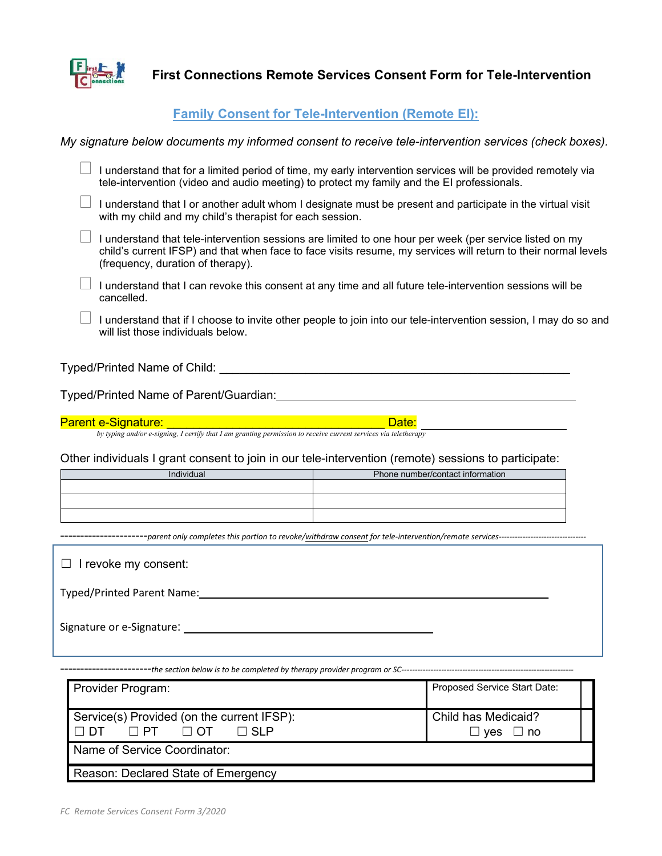

**First Connections Remote Services Consent Form for Tele-Intervention**

## **Family Consent for Tele-Intervention (Remote EI):**

*My signature below documents my informed consent to receive tele-intervention services (check boxes).*

 I understand that for a limited period of time, my early intervention services will be provided remotely via tele-intervention (video and audio meeting) to protect my family and the EI professionals. I understand that I or another adult whom I designate must be present and participate in the virtual visit with my child and my child's therapist for each session.  $\Box$  I understand that tele-intervention sessions are limited to one hour per week (per service listed on my child's current IFSP) and that when face to face visits resume, my services will return to their normal levels (frequency, duration of therapy).

 $\Box$  I understand that I can revoke this consent at any time and all future tele-intervention sessions will be cancelled.

 $\Box$  I understand that if I choose to invite other people to join into our tele-intervention session, I may do so and will list those individuals below.

## Typed/Printed Name of Child: \_\_\_\_\_\_\_\_\_\_\_\_\_\_\_\_\_\_\_\_\_\_\_\_\_\_\_\_\_\_\_\_\_\_\_\_\_\_\_\_\_\_\_\_\_\_\_\_\_\_\_\_\_

Typed/Printed Name of Parent/Guardian:

Parent e-Signature: \_\_\_\_\_\_\_\_\_\_\_\_\_\_\_\_\_\_\_\_\_\_\_\_\_\_\_\_\_\_\_\_\_ Date:

*by typing and/or e-signing, I certify that I am granting permission to receive current services via teletherapy*

Other individuals I grant consent to join in our tele-intervention (remote) sessions to participate:

| Individual | Phone number/contact information |
|------------|----------------------------------|
|            |                                  |
|            |                                  |
|            |                                  |

----------------------*parent only completes this portion to revoke/withdraw consent for tele-intervention/remote services---------------------------------*

| $\Box$ I revoke my consent:       |  |
|-----------------------------------|--|
| <b>Typed/Printed Parent Name:</b> |  |
|                                   |  |

-----------------------*the section below is to be completed by therapy provider program or SC-----------------------------------------------------------------*

| Provider Program:                                                                                                  | Proposed Service Start Date:         |  |
|--------------------------------------------------------------------------------------------------------------------|--------------------------------------|--|
| Service(s) Provided (on the current IFSP):<br>$\Box$ PT<br>$\Box$ $\Box$ $\Box$ $\Box$<br>$\Box$ SI P<br>$\Box$ DT | Child has Medicaid?<br>⊥ no<br>∣ ves |  |
| Name of Service Coordinator:                                                                                       |                                      |  |
| Reason: Declared State of Emergency                                                                                |                                      |  |